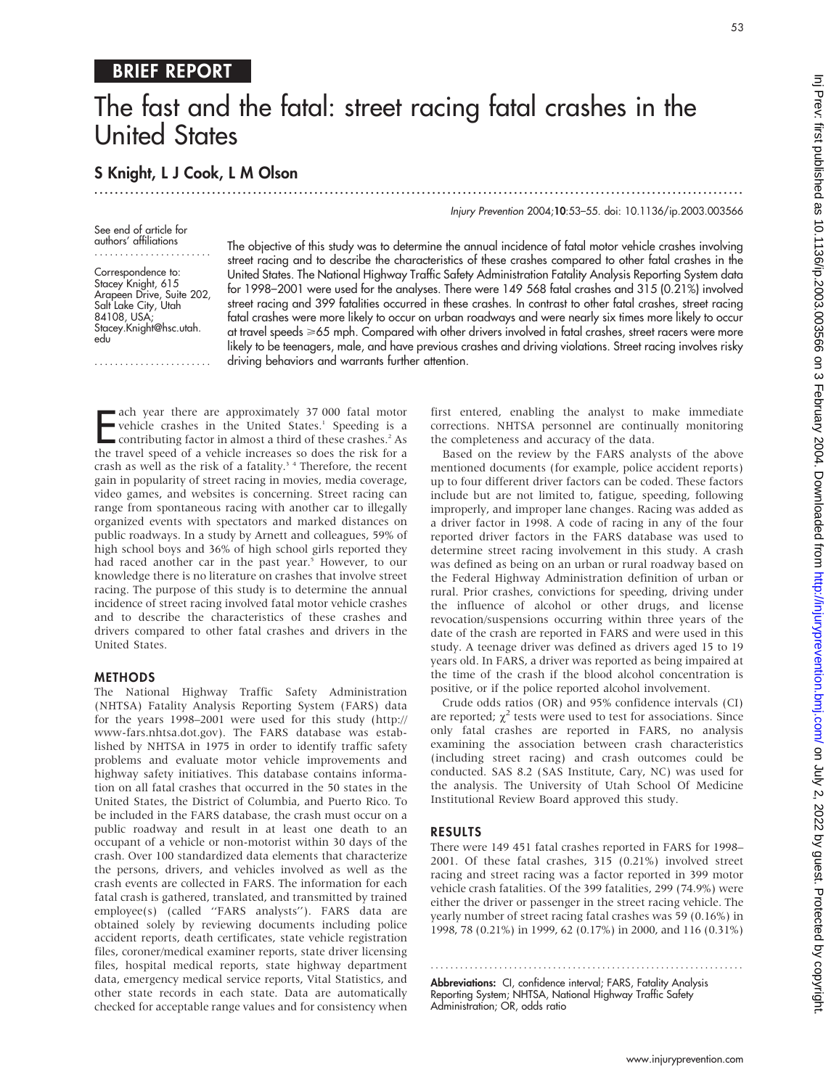# The fast and the fatal: street racing fatal crashes in the United States

.............................................................................................................................. .

# S Knight, L J Cook, L M Olson

See end of article for authors' affiliations .......................

Correspondence to: Stacey Knight, 615 Arapeen Drive, Suite 202, Salt Lake City, Utah 84108, USA; Stacey.Knight@hsc.utah. edu

.......................

The objective of this study was to determine the annual incidence of fatal motor vehicle crashes involving street racing and to describe the characteristics of these crashes compared to other fatal crashes in the United States. The National Highway Traffic Safety Administration Fatality Analysis Reporting System data for 1998–2001 were used for the analyses. There were 149 568 fatal crashes and 315 (0.21%) involved street racing and 399 fatalities occurred in these crashes. In contrast to other fatal crashes, street racing fatal crashes were more likely to occur on urban roadways and were nearly six times more likely to occur at travel speeds >65 mph. Compared with other drivers involved in fatal crashes, street racers were more likely to be teenagers, male, and have previous crashes and driving violations. Street racing involves risky driving behaviors and warrants further attention.

Example of a vehicle crashes in the United States.<sup>1</sup> Speeding is a contributing factor in almost a third of these crashes.<sup>2</sup> As the travel speed of a vehicle increases so does the risk for a ach year there are approximately 37 000 fatal motor vehicle crashes in the United States.<sup>1</sup> Speeding is a contributing factor in almost a third of these crashes. $2$  As crash as well as the risk of a fatality.<sup>3</sup> <sup>4</sup> Therefore, the recent gain in popularity of street racing in movies, media coverage, video games, and websites is concerning. Street racing can range from spontaneous racing with another car to illegally organized events with spectators and marked distances on public roadways. In a study by Arnett and colleagues, 59% of high school boys and 36% of high school girls reported they had raced another car in the past year.<sup>5</sup> However, to our knowledge there is no literature on crashes that involve street racing. The purpose of this study is to determine the annual incidence of street racing involved fatal motor vehicle crashes and to describe the characteristics of these crashes and drivers compared to other fatal crashes and drivers in the United States.

### METHODS

The National Highway Traffic Safety Administration (NHTSA) Fatality Analysis Reporting System (FARS) data for the years 1998–2001 were used for this study (http:// www-fars.nhtsa.dot.gov). The FARS database was established by NHTSA in 1975 in order to identify traffic safety problems and evaluate motor vehicle improvements and highway safety initiatives. This database contains information on all fatal crashes that occurred in the 50 states in the United States, the District of Columbia, and Puerto Rico. To be included in the FARS database, the crash must occur on a public roadway and result in at least one death to an occupant of a vehicle or non-motorist within 30 days of the crash. Over 100 standardized data elements that characterize the persons, drivers, and vehicles involved as well as the crash events are collected in FARS. The information for each fatal crash is gathered, translated, and transmitted by trained employee(s) (called ''FARS analysts''). FARS data are obtained solely by reviewing documents including police accident reports, death certificates, state vehicle registration files, coroner/medical examiner reports, state driver licensing files, hospital medical reports, state highway department data, emergency medical service reports, Vital Statistics, and other state records in each state. Data are automatically checked for acceptable range values and for consistency when first entered, enabling the analyst to make immediate corrections. NHTSA personnel are continually monitoring the completeness and accuracy of the data.

Injury Prevention 2004;10:53–55. doi: 10.1136/ip.2003.003566

Based on the review by the FARS analysts of the above mentioned documents (for example, police accident reports) up to four different driver factors can be coded. These factors include but are not limited to, fatigue, speeding, following improperly, and improper lane changes. Racing was added as a driver factor in 1998. A code of racing in any of the four reported driver factors in the FARS database was used to determine street racing involvement in this study. A crash was defined as being on an urban or rural roadway based on the Federal Highway Administration definition of urban or rural. Prior crashes, convictions for speeding, driving under the influence of alcohol or other drugs, and license revocation/suspensions occurring within three years of the date of the crash are reported in FARS and were used in this study. A teenage driver was defined as drivers aged 15 to 19 years old. In FARS, a driver was reported as being impaired at the time of the crash if the blood alcohol concentration is positive, or if the police reported alcohol involvement.

Crude odds ratios (OR) and 95% confidence intervals (CI) are reported;  $\chi^2$  tests were used to test for associations. Since only fatal crashes are reported in FARS, no analysis examining the association between crash characteristics (including street racing) and crash outcomes could be conducted. SAS 8.2 (SAS Institute, Cary, NC) was used for the analysis. The University of Utah School Of Medicine Institutional Review Board approved this study.

### RESULTS

There were 149 451 fatal crashes reported in FARS for 1998– 2001. Of these fatal crashes, 315 (0.21%) involved street racing and street racing was a factor reported in 399 motor vehicle crash fatalities. Of the 399 fatalities, 299 (74.9%) were either the driver or passenger in the street racing vehicle. The yearly number of street racing fatal crashes was 59 (0.16%) in 1998, 78 (0.21%) in 1999, 62 (0.17%) in 2000, and 116 (0.31%)

Abbreviations: CI, confidence interval; FARS, Fatality Analysis Reporting System; NHTSA, National Highway Traffic Safety Administration; OR, odds ratio

............................................................... .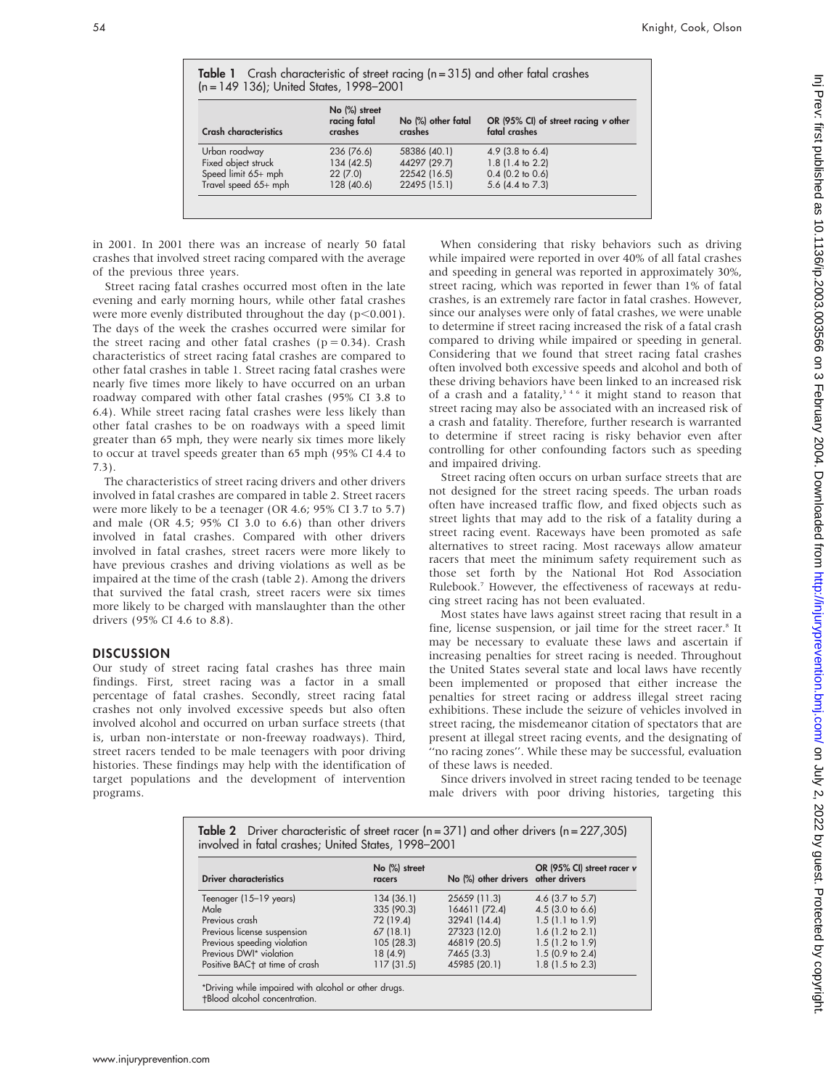| <b>Crash characteristics</b> | No (%) street<br>racing fatal<br>crashes | No (%) other fatal<br>crashes | OR (95% CI) of street racing v other<br>fatal crashes |
|------------------------------|------------------------------------------|-------------------------------|-------------------------------------------------------|
| Urban roadway                | 236 (76.6)                               | 58386 (40.1)                  | $4.9$ (3.8 to 6.4)                                    |
| Fixed object struck          | 134 (42.5)                               | 44297 (29.7)                  | $1.8$ (1.4 to 2.2)                                    |
| Speed limit 65+ mph          | 22(7.0)                                  | 22542 (16.5)                  | $0.4$ (0.2 to 0.6)                                    |
| Travel speed 65+ mph         | 128 (40.6)                               | 22495 (15.1)                  | 5.6 (4.4 to 7.3)                                      |

in 2001. In 2001 there was an increase of nearly 50 fatal crashes that involved street racing compared with the average of the previous three years.

Street racing fatal crashes occurred most often in the late evening and early morning hours, while other fatal crashes were more evenly distributed throughout the day  $(p<0.001)$ . The days of the week the crashes occurred were similar for the street racing and other fatal crashes ( $p = 0.34$ ). Crash characteristics of street racing fatal crashes are compared to other fatal crashes in table 1. Street racing fatal crashes were nearly five times more likely to have occurred on an urban roadway compared with other fatal crashes (95% CI 3.8 to 6.4). While street racing fatal crashes were less likely than other fatal crashes to be on roadways with a speed limit greater than 65 mph, they were nearly six times more likely to occur at travel speeds greater than 65 mph (95% CI 4.4 to 7.3).

The characteristics of street racing drivers and other drivers involved in fatal crashes are compared in table 2. Street racers were more likely to be a teenager (OR 4.6; 95% CI 3.7 to 5.7) and male (OR 4.5; 95% CI 3.0 to 6.6) than other drivers involved in fatal crashes. Compared with other drivers involved in fatal crashes, street racers were more likely to have previous crashes and driving violations as well as be impaired at the time of the crash (table 2). Among the drivers that survived the fatal crash, street racers were six times more likely to be charged with manslaughter than the other drivers (95% CI 4.6 to 8.8).

#### **DISCUSSION**

Our study of street racing fatal crashes has three main findings. First, street racing was a factor in a small percentage of fatal crashes. Secondly, street racing fatal crashes not only involved excessive speeds but also often involved alcohol and occurred on urban surface streets (that is, urban non-interstate or non-freeway roadways). Third, street racers tended to be male teenagers with poor driving histories. These findings may help with the identification of target populations and the development of intervention programs.

When considering that risky behaviors such as driving while impaired were reported in over 40% of all fatal crashes and speeding in general was reported in approximately 30%, street racing, which was reported in fewer than 1% of fatal crashes, is an extremely rare factor in fatal crashes. However, since our analyses were only of fatal crashes, we were unable to determine if street racing increased the risk of a fatal crash compared to driving while impaired or speeding in general. Considering that we found that street racing fatal crashes often involved both excessive speeds and alcohol and both of these driving behaviors have been linked to an increased risk of a crash and a fatality,<sup>346</sup> it might stand to reason that street racing may also be associated with an increased risk of a crash and fatality. Therefore, further research is warranted to determine if street racing is risky behavior even after controlling for other confounding factors such as speeding and impaired driving.

Street racing often occurs on urban surface streets that are not designed for the street racing speeds. The urban roads often have increased traffic flow, and fixed objects such as street lights that may add to the risk of a fatality during a street racing event. Raceways have been promoted as safe alternatives to street racing. Most raceways allow amateur racers that meet the minimum safety requirement such as those set forth by the National Hot Rod Association Rulebook.7 However, the effectiveness of raceways at reducing street racing has not been evaluated.

Most states have laws against street racing that result in a fine, license suspension, or jail time for the street racer.<sup>8</sup> It may be necessary to evaluate these laws and ascertain if increasing penalties for street racing is needed. Throughout the United States several state and local laws have recently been implemented or proposed that either increase the penalties for street racing or address illegal street racing exhibitions. These include the seizure of vehicles involved in street racing, the misdemeanor citation of spectators that are present at illegal street racing events, and the designating of "no racing zones". While these may be successful, evaluation of these laws is needed.

Since drivers involved in street racing tended to be teenage male drivers with poor driving histories, targeting this

| <b>Driver characteristics</b>  | No (%) street<br>racers | No (%) other drivers other drivers | OR (95% CI) street racer v |
|--------------------------------|-------------------------|------------------------------------|----------------------------|
| Teenager (15-19 years)         | 134 (36.1)              | 25659 (11.3)                       | 4.6 $(3.7)$ to 5.7         |
| Male                           | 335 (90.3)              | 164611 (72.4)                      | $4.5$ (3.0 to 6.6)         |
| Previous crash                 | 72 (19.4)               | 32941 (14.4)                       | $1.5(1.1 \text{ to } 1.9)$ |
| Previous license suspension    | 67(18.1)                | 27323 (12.0)                       | $1.6$ (1.2 to 2.1)         |
| Previous speeding violation    | 105(28.3)               | 46819 (20.5)                       | $1.5(1.2 \text{ to } 1.9)$ |
| Previous DWI* violation        | 18 (4.9)                | 7465 (3.3)                         | $1.5$ (0.9 to 2.4)         |
| Positive BAC† at time of crash | 117(31.5)               | 45985 (20.1)                       | $1.8$ (1.5 to 2.3)         |

**Table 2** Driver characteristic of street racer  $(n = 371)$  and other drivers  $(n = 227,305)$ 

-Blood alcohol concentration.